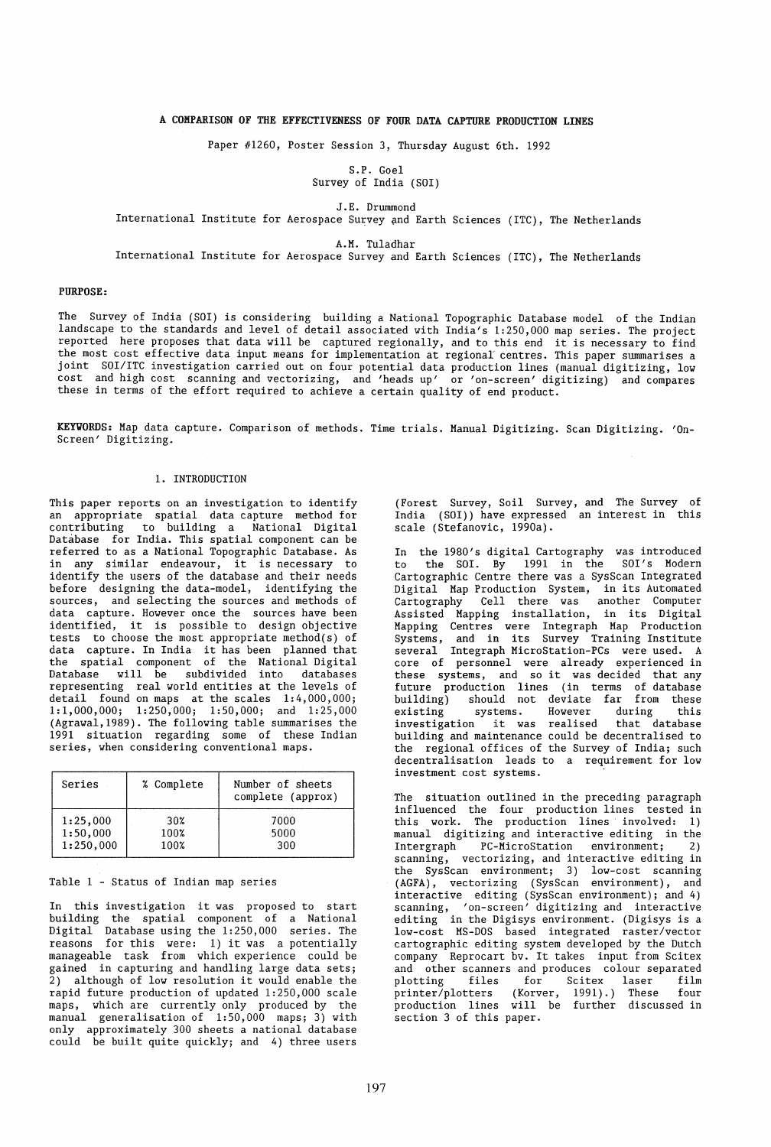# A COMPARISON OF THE EFFECTIVENESS OF FOUR DATA CAPTURE PRODUCTION LINES

Paper #1260, Poster Session 3, Thursday August 6th. 1992

S.P. Goel Survey of India (SOl)

J.E. Drummond

International Institute for Aerospace Survey and Earth Sciences (ITC), The Netherlands

A.M. Tuladhar

International Institute for Aerospace Survey and Earth Sciences (ITC), The Netherlands

## PURPOSE:

The Survey of India (SOl) is considering building a National Topographic Database model of the Indian landscape to the standards and level of detail associated with India's 1:250,000 map series. The project reported here proposes that data will be captured regionally, and to this end it is necessary to find the most cost effective data input means for implementation at regional centres. This paper summarises a joint SOI/ITC investigation carried out on four potential data production lines (manual digitizing, low cost and high cost scanning and vectorizing, and 'heads up' or 'on-screen' digitizing) and compares these in terms of the effort required to achieve a certain quality of end product.

KEYVORDS: Map data capture. Comparison of methods. Time trials. Manual Digitizing. Scan Digitizing. 'On-Screen' Digitizing.

## 1. INTRODUCTION

This paper reports on an investigation to identify an appropriate spatial data capture method for to building a National Digital Database for India. This spatial component can be referred to as a National Topographic Database. As in any similar endeavour, it is necessary to identify the users of the database and their needs before designing the data-model, identifying the sources, and selecting the sources and methods of data capture. However once the sources have been identified, it is possible to design objective tests to choose the most appropriate method(s) of data capture. In India it has been planned that the spatial component of the National Digital Database will be subdivided into databases representing real world entities at the levels of detail found on maps at the scales 1:4,000,000; 1:1,000,000; 1:250,000; 1:50,000; and 1:25,000 (Agrawal,1989). The following table summarises the 1991 situation regarding some of these Indian series, when considering conventional maps.

| Series    | % Complete | Number of sheets<br>complete (approx) |
|-----------|------------|---------------------------------------|
| 1:25,000  | 30%        | 7000                                  |
| 1:50,000  | 100%       | 5000                                  |
| 1:250,000 | 100%       | 300                                   |

## Table 1 - Status of Indian map series

In this investigation it was proposed to start building the spatial component of a National Digital Database using the 1:250,000 series. The reasons for this were: 1) it was a potentially manageable task from which experience could be gained in capturing and handling large data sets; 2) although of low resolution it would enable the rapid future production of updated 1:250,000 scale maps, which are currently only produced by the manual generalisation of 1:50,000 maps; 3) with only approximately 300 sheets a national database could be built quite quickly; and 4) three users

(Forest Survey, Soil Survey, and The Survey of India (SOI)) have expressed an interest in this scale (Stefanovic, 1990a).

In the 1980's digital Cartography was introduced to the SOl. By 1991 in the SOl's Modern Cartographic Centre there was a SysScan Integrated Digital Map Production System, in its Automated Cartography Cell there was another Computer Assisted Mapping installation, in its Digital Mapping Centres were Integraph Map Production Systems, and in its Survey Training Institute several Integraph MicroStation-PCs were used. A core of personnel were already experienced in these systems, and so it was decided that any future production lines (in terms of database building) should not deviate far from these existing systems. However during this existing systems. However during this<br>investigation it was realised that database building and maintenance could be decentralised to the regional offices of the Survey of India; such decentralisation leads to a requirement for low investment cost systems.

The situation outlined in the preceding paragraph influenced the four production lines tested in this work. The production lines involved: 1) manual digitizing and interactive editing in the<br>Intergraph PC-MicroStation environment; 2) Intergraph PC-MicroStation environment; 2) scanning, vectorizing, and interactive editing in the SysScan environment; 3) low-cost scanning (AGFA), vectorizing (SysScan environment), and interactive editing (SysScan environment); and 4) scanning, 'on-screen' digitizing and interactive editing in the Digisys environment. (Digisys is a low-cost MS-DOS based integrated raster/vector cartographic editing system developed by the Dutch company Reprocart bv. It takes input from Scitex and other scanners and produces colour separated<br>plotting files for Scitex laser film plotting files for Scitex laser film printer/plotters (Korver, 1991).) These four printer/plotters (Korver, 1991).) These four<br>production lines will be further discussed in section 3 of this paper.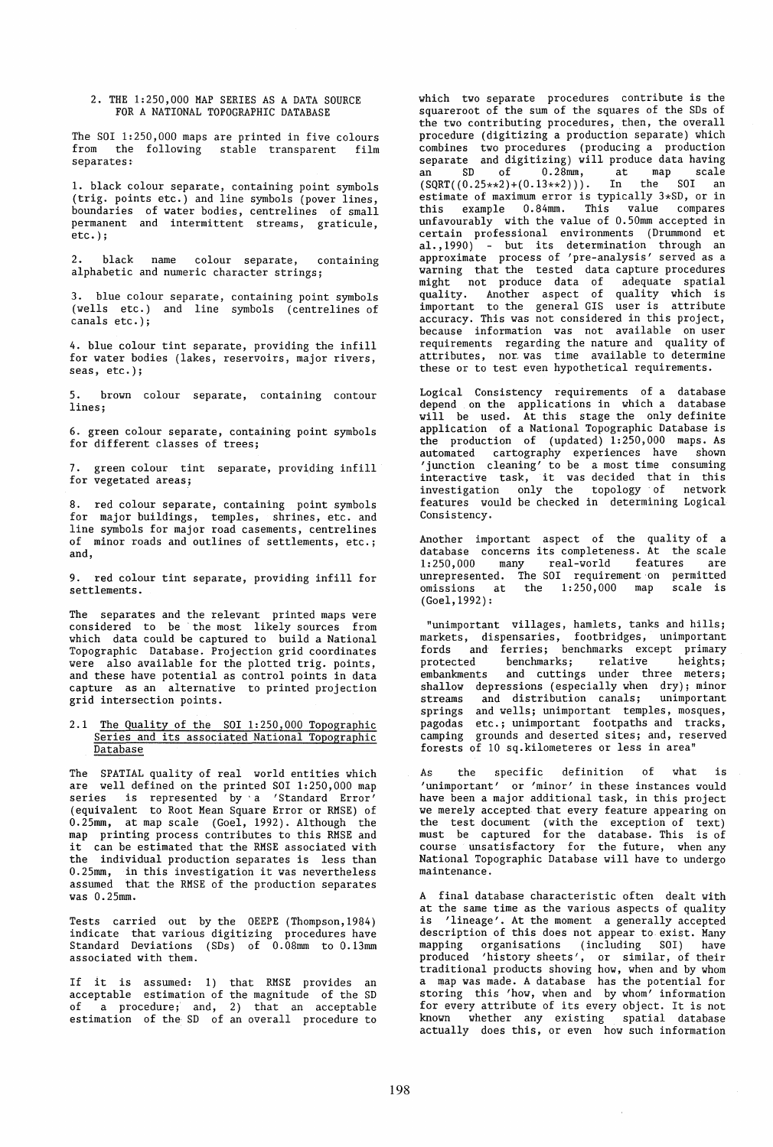2. THE 1:250,000 MAP SERIES AS A DATA SOURCE FOR A NATIONAL TOPOGRAPHIC DATABASE

The SOl 1:250,000 maps are printed in five colours from the following stable transparent film separates:

1. black colour separate, containing point symbols (trig. points etc.) and line symbols (power lines, boundaries of water bodies, centrelines of small permanent and intermittent streams, graticule, etc.);

2. black name colour separate, containing alphabetic and numeric character strings;

3. blue colour separate, containing point symbols (wells etc.) and line symbols (centrelines of canals etc.);

4. blue colour tint separate, providing the infill for water bodies (lakes, reservoirs, major rivers, seas, etc.);

5. brown colour separate, containing contour lines;

6. green colour separate, containing point symbols for different classes of trees;

7. green colour tint separate, providing infill for vegetated areas;

8. red colour separate, containing point symbols for major buildings, temples, shrines, etc. and line symbols for major road casements, centrelines of minor roads and outlines of settlements, etc.; and,

9. red colour tint separate, providing infill for settlements.

The separates and the relevant printed maps were considered to be' the most likely sources from which data could be captured to build a National Topographic Database. Projection grid coordinates were also available for the plotted trig. points, and these have potential as control points in data capture as an alternative to printed projection grid intersection points.

## 2.1 The Quality of the SOI 1:250,000 Topographic Series and its associated National Topographic Database

The SPATIAL quality of real world entities which are well defined on the printed SOI 1:250,000 map series is represented by'a 'Standard Error' (equivalent to Root Mean Square Error or RMSE) of  $0.25$ mm, at map scale (Goel, 1992). Although the map printing process contributes to this RMSE and it can be estimated that the RMSE associated with the individual production separates is less than 0.25mm, in this investigation it was nevertheless assumed that the RMSE of the production separates was 0.25mm.

Tests carried out by the OEEPE (Thompson,1984) indicate that various digitizing procedures have Standard Deviations (SDs) of 0.08mm to 0.13mm associated with them.

If it is assumed: 1) that RMSE provides an acceptable estimation of the magnitude of the SD of a procedure; and, 2) that an acceptable estimation of the SD of an overall procedure to which two separate procedures contribute is the square root of the sum of the squares of the SDs of the two contributing procedures, then, the overall procedure (digitizing a production separate) which combines two procedures (producing a production separate and digitizing) will produce data having an SD of 0.28mm, at map scale<br>(SQRT((0.25\*\*2)+(0.13\*\*2))). In the SOI an  $(SQRT((0.25**2)+(0.13**2)))$ . In the SOI an estimate of maximum error is typically 3\*SD, or in this example 0.84mm. This value compares unfavourably with the value of 0.50mm accepted in certain professional environments (Drummond et al.,1990) - but its determination through an approximate process of 'pre-analysis' served as a warning that the tested data capture procedures might not produce data of adequate spatial quality. Another aspect of quality which is important to the general GIS user is attribute accuracy. This was not considered in this project, because information was not available on user requirements regarding the nature and quality of attributes, nor was time available to determine these or to test even hypothetical requirements.

Logical Consistency requirements of a database depend on the applications in which a database will be used. At this stage the only definite application of a National Topographic Database is the production of (updated) 1:250,000 maps. As automated cartography experiences have shown 'junction cleaning' to be a most time consuming interactive task, it was decided that in this investigation only the topology of network features would be checked in determining Logical Consistency.

Another important aspect of the quality of a database concerns its completeness. At the scale<br>1:250.000 many real-world features are  $1:250,000$  many real-world features unrepresented. The SOI requirement on permitted<br>omissions at the 1:250,000 map scale is the  $1:250,000$  map (Goel, 1992):

"unimportant villages, hamlets, tanks and hills; markets, dispensaries, footbridges, unimportant fords and ferries; benchmarks except primary protected benchmarks; relative heights;<br>embankments and cuttings under three meters; and cuttings under three meters; shallow depressions (especially when dry); minor<br>streams and distribution canals; unimportant streams and distribution canals; unimportant<br>springs and wells; unimportant temples, mosques, and wells; unimportant temples, mosques, pagodas etc.; unimportant footpaths and tracks, camping grounds and deserted sites; and, reserved forests of 10 sq.kilometeres or less in area"

As the specific definition of what is 'unimportant' or 'minor' in these instances would have been a major additional task, in this project we merely accepted that every feature appearing on the test document (with the exception of text) must be captured for the database. This is of course unsatisfactory for the future, when any National Topographic Database will have to undergo maintenance.

A final database characteristic often dealt with at the same time as the various aspects of quality is 'lineage'. At the moment a generally accepted description of this does not appear to exist. Many mapping organisations (including SOI) have produced 'history sheets', or similar, of their traditional products showing how, when and by whom a map was made. A database has the potential for storing this 'how, when and by whom' information for every attribute of its every object. It is not known whether any existing spatial database actually does this, or even how such information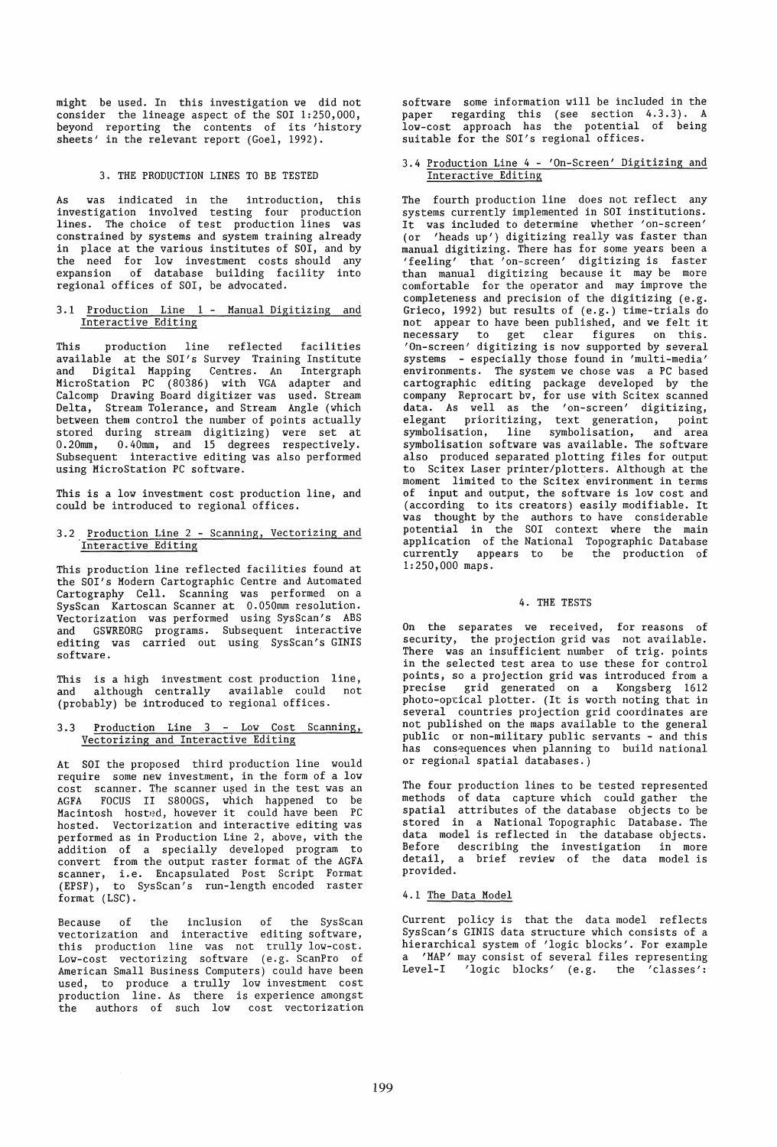might be used. In this investigation we did not consider the lineage aspect of the SOI 1:250,000, beyond reporting the contents of its 'history sheets' in the relevant report (Goel, 1992).

### 3. THE PRODUCTION LINES TO BE TESTED

As was indicated in the introduction, this investigation involved testing four production<br>lines. The choice of test production lines was The choice of test production lines was constrained by systems and system training already in place at the various institutes of SOI, and by the need for low investment costs should any expansion of database building facility into regional offices of SOl, be advocated.

## 3.1 Production Line 1 - Manual Digitizing and Interactive Editing

This production line reflected facilities available at the SOl's Survey Training Institute and Digital Mapping Centres. An Intergraph MicroStation PC (80386) with VGA adapter and Calcomp Drawing Board digitizer was used. Stream Delta, Stream Tolerance, and Stream Angle (which between them control the number of points actually stored during stream digitizing) were set at 0.20mm, 0.40mm, and 15 degrees respectively. Subsequent interactive editing was also performed using MicroStation PC software.

This is a low investment cost production line, and could be introduced to regional offices.

## 3.2 Production Line 2 - Scanning, Vectorizing and Interactive Editing

This production line reflected facilities found at the SOl's Modern Cartographic Centre and Automated Cartography Cell. Scanning was performed on a SysScan Kartoscan Scanner at 0.050mm resolution. Vectorization was performed using SysScan's ABS and GSYREORG programs. Subsequent interactive editing was carried out using SysScan's GINIS software.

This is a high investment cost production line, and although centrally available could not (probably) be introduced to regional offices.

## 3.3 Production Line 3 - Low Cost Scanning, Vectorizing and Interactive Editing

At SOl the proposed third production line would require some new investment, in the form of a low cost scanner. The scanner used in the test was an AGFA FOCUS II S800GS, which happened to be Macintosh hosted, however it could have been PC hosted. Vectorization and interactive editing was performed as in Production Line 2, above, with the addition of a specially developed program to convert from the output raster format of the AGFA scanner, i.e. Encapsulated Post Script Format (EPSF), to SysScan's run-length encoded raster format (LSC).

Because of the inclusion of the SysScan vectorization and interactive editing software, this production line was not trully low-cost. Low-cost vectorizing software (e.g. ScanPro of American Small Business Computers) could have been used, to produce a trully low investment cost production line. As there is experience amongst the authors of such low cost vectorization software some information will be included in the paper regarding this (see section 4.3.3). A low-cost approach has the potential of being suitable for the SOl's regional offices.

## 3.4 Production Line 4 - 'On-Screen' Digitizing and Interactive Editing

The fourth production line does not reflect any systems currently implemented in SOl institutions. It was included to determine whether 'on-screen' (or 'heads up') digitizing really was faster than manual digitizing. There has for some years been a 'feeling' that 'on-screen' digitizing is faster than manual digitizing because it may be more comfortable for the operator and may improve the completeness and precision of the digitizing (e.g. Grieco, 1992) but results of (e.g.) time-trials do not appear to have been published, and we felt it necessary to get clear figures on this. 'On-screen' digitizing is now supported by several systems - especially those found in 'multi-media' environments. The system we chose was a PC based cartographic editing package developed by the company Reprocart bv, for use with Scitex scanned data. As well as the 'on-screen' digitizing, elegant prioritizing, text generation, point symbolisation, line symbolisation, and area symbolisation software was available. The software also produced separated plotting files for output to Scitex Laser printer/plotters. Although at the moment limited to the Scitex environment in terms of input and output, the software is low cost and (according to its creators) easily modifiable. It was thought by the authors to have considerable potential in the SOl context where the main application of the National Topographic Database currently appears to be the production of 1:250,000 maps.

#### 4. THE TESTS

On the separates we received, for reasons of security, the projection grid was not available. There was an insufficient number of trig. points in the selected test area to use these for control points, so a projection grid was introduced from a precise grid generated on a Kongsberg 1612<br>photo-optical plotter. (It is worth noting that in several countries projection grid coordinates are not published on the maps available to the general public or non-military public servants - and this has consequences when planning to build national or regional spatial databases.)

The four production lines to be tested represented methods of data capture which could gather the spatial attributes of the database objects to be stored in a National Topographic Database. The data model is reflected in the database objects.<br>Before describing the investigation in more Before describing the investigation in more<br>detail, a brief review of the data model is a brief review of the data model is provided.

## 4.1 The Data Model

Current policy is that the data model reflects SysScan's GINIS data structure which consists of a hierarchical system of 'logic blocks'. For example a 'MAP' may consist of several files representing Level-I  $'$ logic blocks' (e.g. the 'classes':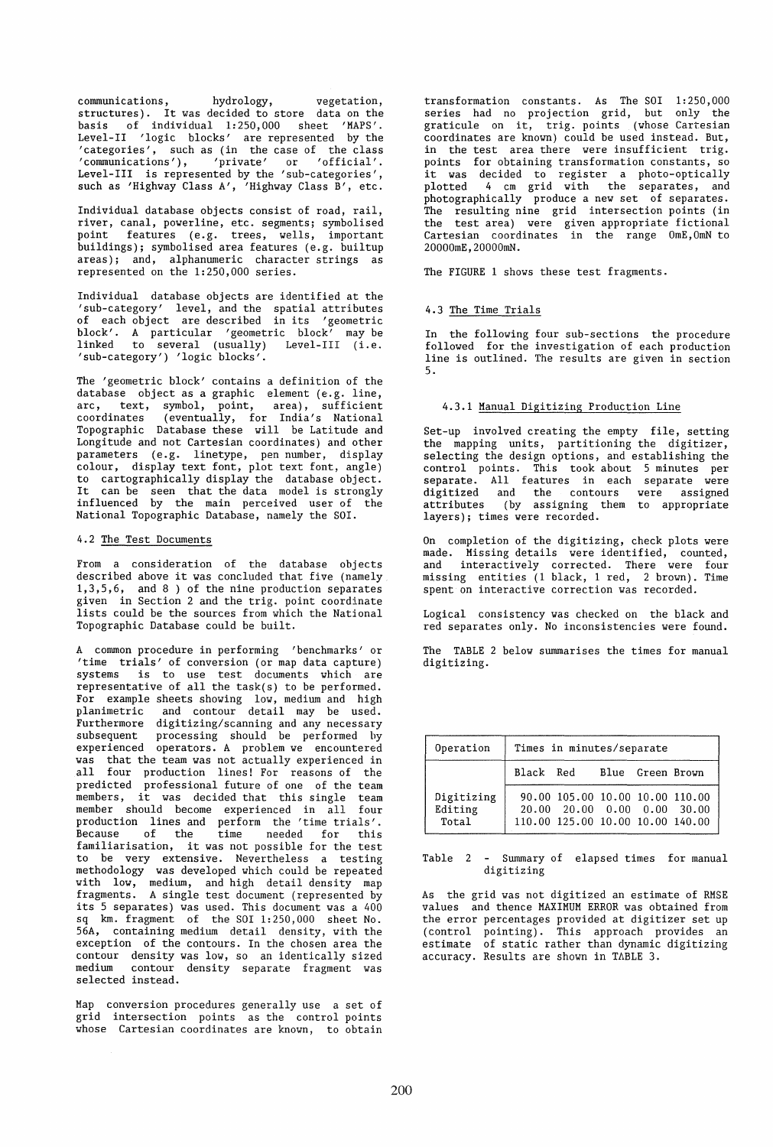communications, hydrology, vegetation, structures). It was decided to store data on the basis of individual 1:250,000 sheet 'MAPS'. Level-II 'logic blocks' are represented by the 'categories', such as (in the case of the class 'communications'), 'private' or 'official'. Level-III is represented by the 'sub-categories', such as 'Highway Class A', 'Highway Class B', etc.

Individual database objects consist of road, rail, river, canal, powerline, etc. segments; symbolised point features (e.g. trees, wells, important buildings); symbolised area features (e.g. builtup areas); and, alphanumeric character strings as represented on the 1:250,000 series.

Individual database objects are identified at the 'sub-category' level, and the spatial attributes of each object are described in its 'geometric block'. A particular 'geometric block' may be linked to several (usually) Level-III (i.e. 'sub-category') 'logic blocks'.

The 'geometric block' contains a definition of the database object as a graphic element (e.g. line, arc, text, symbol, point, area), sufficient coordinates (eventually, for India's National Topographic Database these will be Latitude and Longitude and not Cartesian coordinates) and other parameters (e.g. linetype, pen number, display colour, display text font, plot text font, angle) to cartographically display the database object. It can be seen that the data model is strongly influenced by the main perceived user of the National Topographic Database, namely the SOl.

#### 4.2 The Test Documents

From a consideration of the database objects described above it was concluded that five (namely 1,3,5,6, and 8 ) of the nine production separates given in Section 2 and the trig. point coordinate lists could be the sources from which the National Topographic Database could be built.

A common procedure in performing 'benchmarks' or 'time trials' of conversion (or map data capture) systems is to use test documents which are representative of all the task(s) to be performed. For example sheets showing low, medium and high planimetric and contour detail may be used. Furthermore digitizing/scanning and any necessary subsequent processing should be performed by experienced operators. A problem we encountered was that the team was not actually experienced in all four production lines! For reasons of the predicted professional future of one of the team members, it was decided that this single team member should become experienced in all four production lines and perform the 'time trials'. .<br>Because of the time needed for this familiarisation, it was not possible for the test to be very extensive. Nevertheless a testing methodology was developed which could be repeated with low, medium, and high detail density map fragments. A single test document (represented by its 5 separates) was used. This document was a 400 sq km. fragment of the SOl 1:250,000 sheet No. 56A, containing medium detail density, with the exception of the contours. In the chosen area the contour density was low, so an identically sized medium contour density separate fragment was selected instead.

Map conversion procedures generally use a set of grid intersection points as the control points whose Cartesian coordinates are known, to obtain transformation constants. As The SOI 1:250,000 series had no projection grid, but only the graticule on it, trig. points (whose Cartesian coordinates are known) could be used instead. But, in the test area there were insufficient trig. points for obtaining transformation constants, so it was decided to register a photo-optically plotted 4 cm grid with the separates, and .<br>photographically produce a new set of separates. The resulting nine grid intersection points (in the test area) were given appropriate fictional Cartesian coordinates in the range OmE,OmN to 20000mE,20000mN.

The FIGURE 1 shows these test fragments.

## 4.3 The Time Trials

In the following four sub-sections the procedure followed for the investigation of each production line is outlined. The results are given in section 5.

## 4.3.1 Manual Digitizing Production Line

Set-up involved creating the empty file, setting the mapping units, partitioning the digitizer, selecting the design options, and establishing the control points. This took about 5 minutes per separate. All features in each separate were digitized and the contours were assigned attributes (by assigning them to appropriate layers); times were recorded.

On completion of the digitizing, check plots were made. Missing details were identified, counted, and interactively corrected. There were four missing entities (1 black, 1 red, 2 brown). Time spent on interactive correction was recorded.

Logical consistency was checked on the black and red separates only. No inconsistencies were found.

The TABLE 2 below summarises the times for manual digitizing.

| Operation                      | Times in minutes/separate |                                                                                                    |  |  |  |  |  |
|--------------------------------|---------------------------|----------------------------------------------------------------------------------------------------|--|--|--|--|--|
|                                |                           | Black Red Blue Green Brown                                                                         |  |  |  |  |  |
| Digitizing<br>Editing<br>Total |                           | 90.00 105.00 10.00 10.00 110.00<br>20.00 20.00 0.00 0.00 30.00<br>110.00 125.00 10.00 10.00 140.00 |  |  |  |  |  |

## Table 2 - Summary of elapsed times for manual digitizing

As the grid was not digitized an estimate of RMSE values and thence MAXIMUM ERROR was obtained from the error percentages provided at digitizer set up (control pointing). This approach provides an estimate of static rather than dynamic digitizing accuracy. Results are shown in TABLE 3.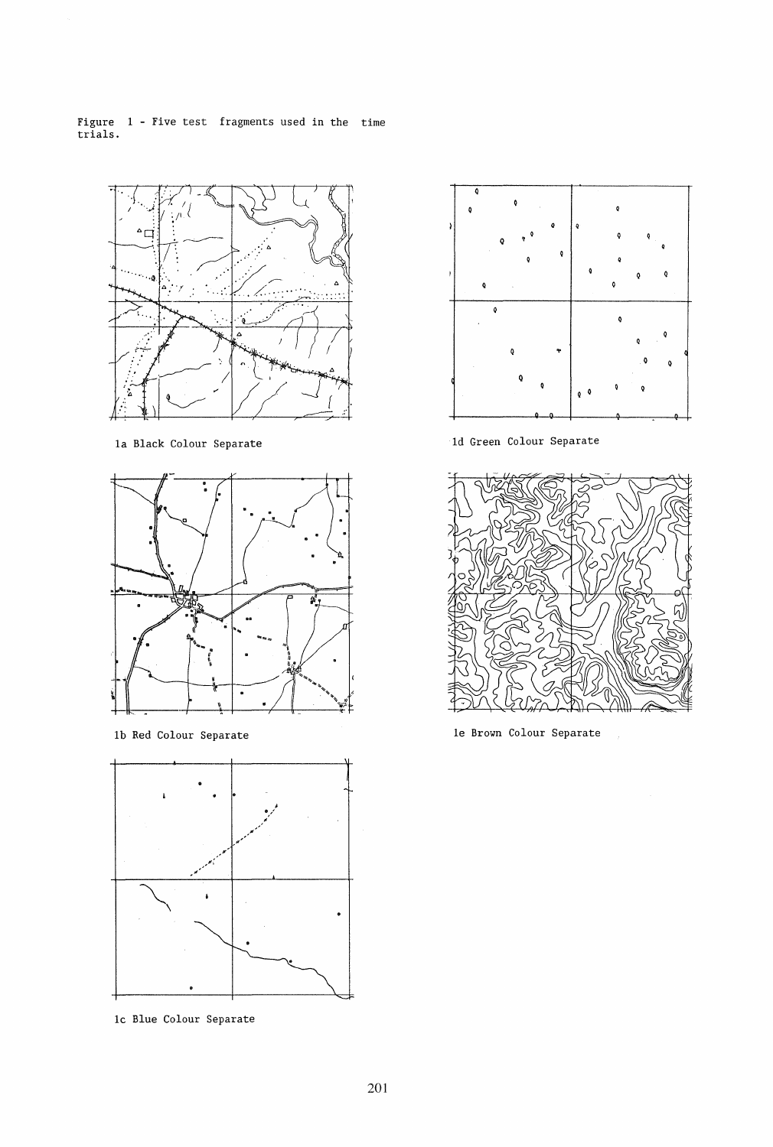Figure 1 - Five test fragments used in the time trials.



la Black Colour Separate



lb Red Colour Separate



lc Blue Colour Separate



ld Green Colour Separate



le Brown Colour Separate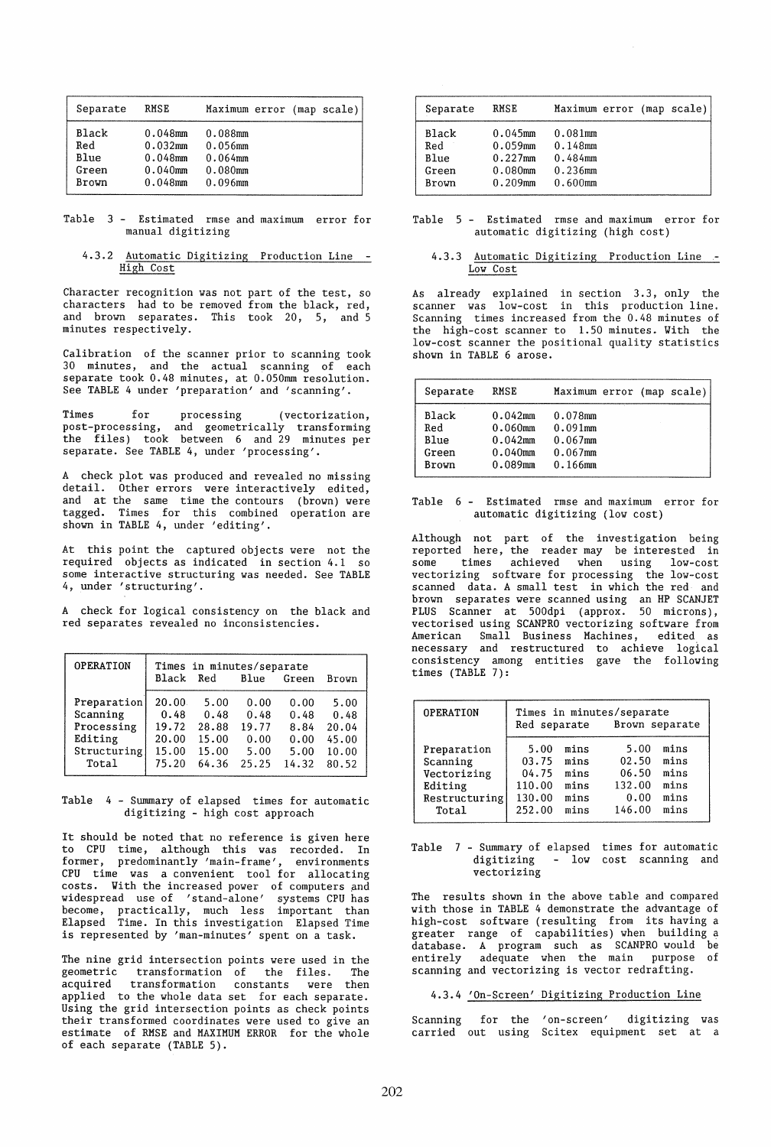| Separate | RMSE       | Maximum error (map scale) |
|----------|------------|---------------------------|
| Black    | $0.048$ mm | 0.088mm                   |
| Red      | $0.032$ mm | $0.056$ mm                |
| Blue     | $0.048$ mm | $0.064$ mm                |
| Green    | $0.040$ mm | $0.080$ mm                |
| Brown    | $0.048$ mm | $0.096$ mm                |

Table 3 - Estimated rmse and maximum error for manual digitizing

## 4.3.2 Automatic Digitizing Production Line High Cost

Character recognition was not part of the test, so characters had to be removed from the black, red, and brown separates. This took 20, 5, and 5 minutes respectively.

Calibration of the scanner prior to scanning took 30 minutes, and the actual scanning of each separate took 0.48 minutes, at 0.050mm resolution. See TABLE 4 under 'preparation' and 'scanning'.

Times for processing (vectorization, post-processing, and geometrically transforming the files) took between 6 and 29 minutes per separate. See TABLE 4, under 'processing'.

A check plot was produced and revealed no missing detail. Other errors were interactively edited, and at the same time the contours (brown) were tagged. Times for this combined operation are shown in TABLE 4, under 'editing'.

At this point the captured objects were not the required objects as indicated in section 4.1 so some interactive structuring was needed. See TABLE 4, under 'structuring'.

A check for logical consistency on the black and red separates revealed no inconsistencies.

| <b>OPERATION</b> | Times in minutes/separate<br>Black<br>Red<br>Blue<br>Green<br>Brown |       |       |       |       |  |  |
|------------------|---------------------------------------------------------------------|-------|-------|-------|-------|--|--|
| Preparation      | 20.00                                                               | 5.00  | 0.00  | 0.00  | 5.00  |  |  |
| Scanning         | 0.48                                                                | 0.48  | 0.48  | 0.48  | 0.48  |  |  |
| Processing       | 19.72                                                               | 28.88 | 19.77 | 8.84  | 20.04 |  |  |
| Editing          | 20.00                                                               | 15.00 | 0.00  | 0.00  | 45.00 |  |  |
| Structuring      | 15.00                                                               | 15.00 | 5.00  | 5.00  | 10.00 |  |  |
| Total            | 75.20                                                               | 64.36 | 25.25 | 14.32 | 80.52 |  |  |

Table 4 - Summary of elapsed times for automatic digitizing - high cost approach

It should be noted that no reference is given here to CPU time, although this was recorded. In former, predominantly 'main-frame', environments CPU time was a convenient tool for allocating costs. With the increased power of computers and widespread use of 'stand-alone' systems CPU has become, practically, much less important than Elapsed Time. In this investigation Elapsed Time is represented by 'man-minutes' spent on a task.

The nine grid intersection points were used in the<br>geometric transformation of the files. The geometric transformation of the files. The acquired transformation constants were then applied to the whole data set for each separate. Using the grid intersection points as check points their transformed coordinates were used to give an estimate of RMSE and MAXIMUM ERROR for the whole of each separate (TABLE 5).

| Separate                               | <b>RMSE</b>                                                        | Maximum error (map scale)                                       |  |  |
|----------------------------------------|--------------------------------------------------------------------|-----------------------------------------------------------------|--|--|
| Black<br>Red<br>Blue<br>Green<br>Brown | $0.045$ mm<br>$0.059$ mm<br>$0.227$ mm<br>$0.080$ mm<br>$0.209$ mm | $0.081$ mm<br>0.148mm<br>$0.484$ mm<br>$0.236$ mm<br>$0.600$ mm |  |  |

## Table 5 Estimated rmse and maximum error for automatic digitizing (high cost)

## 4.3.3 Automatic Digitizing Production Line Low Cost

As already explained in section 3.3, only the scanner was low-cost in this production line. Scanning times increased from the 0.48 minutes of the high-cost scanner to 1.50 minutes. Vith the low-cost scanner the positional quality statistics shown in TABLE 6 arose.

| Separate | RMSE       | Maximum error (map scale) |
|----------|------------|---------------------------|
| Black    | $0.042$ mm | $0.078$ mm                |
| Red      | $0.060$ mm | $0.091$ mm                |
| Blue     | $0.042$ mm | $0.067$ mm                |
| Green    | $0.040$ mm | $0.067$ mm                |
| Brown    | $0.089$ mm | $0.166$ mm                |

## Table 6 - Estimated rmse and maximum error for automatic digitizing (low cost)

Although not part of the investigation being reported here, the reader may be interested in some times achieved when using low-cost vectorizing software for processing the low-cost scanned data. A small test in which the red and brown separates were scanned using an HP SCANJET PLUS Scanner at 500dpi (approx. 50 microns), vectorised using SCANPRO vectorizing software from American Small Business Machines, edited as necessary and restructured to achieve logical consistency among entities gave the following times (TABLE 7):

| <b>OPERATION</b> | Times in minutes/separate<br>Red separate<br>Brown separate |      |        |      |  |  |
|------------------|-------------------------------------------------------------|------|--------|------|--|--|
| Preparation      | 5.00                                                        | mins | 5.00   | mins |  |  |
| Scanning         | 03.75                                                       | mins | 02.50  | mins |  |  |
| Vectorizing      | 04.75                                                       | mins | 06.50  | mins |  |  |
| Editing          | 110.00                                                      | mins | 132.00 | mins |  |  |
| Restructuring    | 130.00                                                      | mins | 0.00   | mins |  |  |
| Total            | 252.00                                                      | mins | 146.00 | mins |  |  |

#### Table 7 - Summary of elapsed times for automatic digitizing vectorizing - low cost scanning and

The results shown in the above table and compared with those in TABLE 4 demonstrate the advantage of high-cost software (resulting from its having a greater range of capabilities) when building a database. A program such as SCANPRO would be<br>entirely adequate when the main purpose of adequate when the main purpose of scanning and vectorizing is vector redrafting.

## 4.3.4 'On-Screen' Digitizing Production Line

Scanning for the 'on-screen' carried out using Scitex equipment set at a digitizing was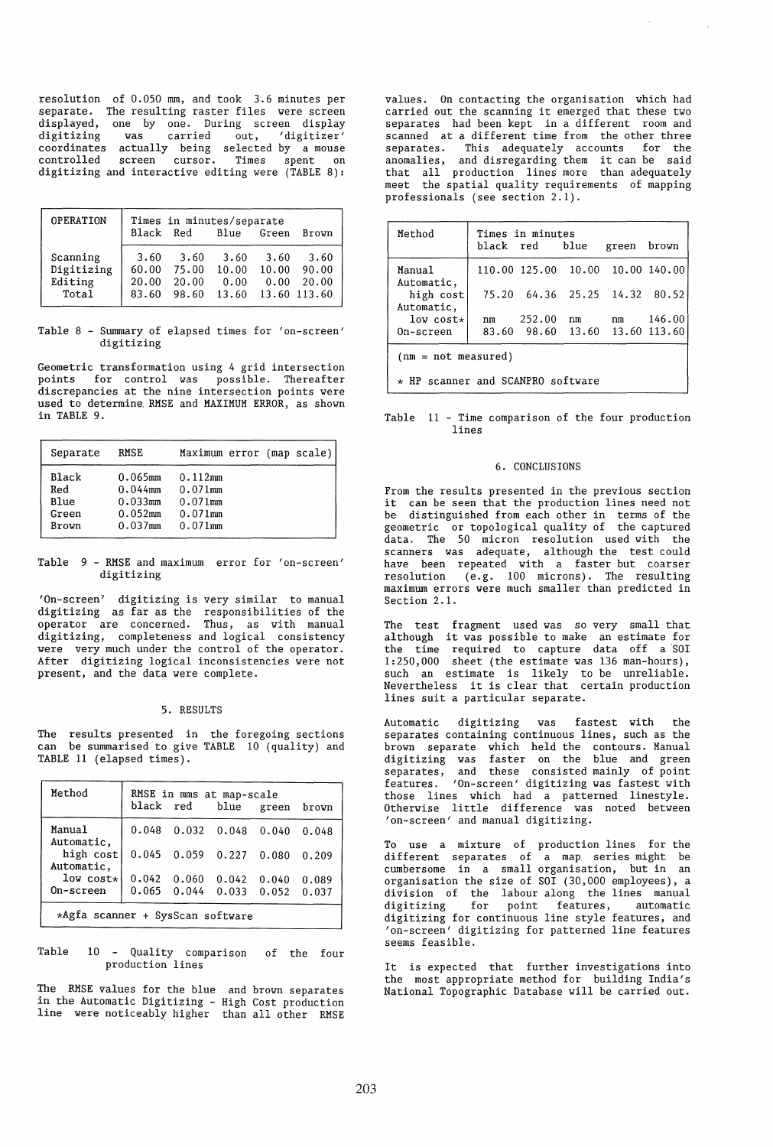resolution of O.OSO mm, and took 3.6 minutes per separate. The resulting raster files were screen displayed, one by one. During screen display<br>digitizing was carried out, 'digitizer' carried out, 'digitizer' coordinates actually being selected by a mouse controlled screen cursor. Times spent on digitizing and interactive editing vere (TABLE 8):

| <b>OPERATION</b>                           | Times in minutes/separate<br>Black Red<br>Blue Green<br>Brown |                                 |                                |                       |                                        |  |  |
|--------------------------------------------|---------------------------------------------------------------|---------------------------------|--------------------------------|-----------------------|----------------------------------------|--|--|
| Scanning<br>Digitizing<br>Editing<br>Total | 3.60<br>60.00<br>20.00<br>83.60                               | 3.60<br>75.00<br>20.00<br>98.60 | 3.60<br>10.00<br>0.00<br>13.60 | 3.60<br>10.00<br>0.00 | 3.60<br>90.00<br>20,00<br>13.60 113.60 |  |  |

Table 8 - Summary of elapsed times for 'on-screen' digitizing

Geometric transformation using 4 grid intersection points for control vas possible. Thereafter discrepancies at the nine intersection points were used to determine. RMSE and MAXIMUM ERROR, as shovn in TABLE 9.

| Separate | <b>RMSE</b> | Maximum error (map scale) |
|----------|-------------|---------------------------|
| Black    | $0.065$ mm  | 0.112mm                   |
| Red      | $0.044$ mm  | $0.071$ mm                |
| Blue     | $0.033$ mm  | $0.071$ mm                |
| Green    | $0.052$ mm  | $0.071$ mm                |
| Brown    | $0.037$ mm  | $0.071$ mm                |

Table 9 - RMSE and maximum error for 'on-screen' digitizing

'On-screen' digitizing is very similar to manual digitizing as' far as the responsibilities of the operator are concerned. Thus, as vith manual digitizing, completeness and logical consistency vere very much under the control of the operator. After digitizing logical inconsistencies vere not present, and the data vere complete.

#### 5. RESULTS

The results presented in the foregoing sections can be summarised to give TABLE 10 (quality) and TABLE 11 (elapsed times).

| Method                  |                                  | RMSE in mms at map-scale<br>black red blue green |       |                         | brown |  |  |  |
|-------------------------|----------------------------------|--------------------------------------------------|-------|-------------------------|-------|--|--|--|
| Manual<br>Automatic.    |                                  | $0.048$ $0.032$ $0.048$ $0.040$                  |       |                         | 0.048 |  |  |  |
| high cost<br>Automatic. |                                  | $0.045$ $0.059$ $0.227$ $0.080$                  |       |                         | 0.209 |  |  |  |
| $low$ cost $\star$      | 0.042                            | 0.060                                            | 0.042 | 0.040                   | 0.089 |  |  |  |
| On-screen               |                                  | $0.065 \quad 0.044$                              |       | $0.033$ $0.052$ $0.037$ |       |  |  |  |
|                         | *Agfa scanner + SysScan software |                                                  |       |                         |       |  |  |  |

Table 10 - Quality comparison of the four production lines

The RMSE values for the blue and brovn separates in the Automatic Digitizing - High Cost production line vere noticeably higher than all other RMSE values. On contacting the organisation which had carried out the scanning it emerged that these tvo separates had been kept in a different room and scanned at a different time from the other three separates. This adequately accounts for the anomalies, and disregarding them it can be said that all production lines more than adequately meet the spatial quality requirements of mapping professionals (see section 2.1).

| Method                                     |    | Times in minutes<br>black red blue |    | green brown |           |  |
|--------------------------------------------|----|------------------------------------|----|-------------|-----------|--|
| Manual<br>Automatic,                       |    | 110.00 125.00 10.00 10.00 140.00   |    |             |           |  |
| high cost<br>Automatic,                    |    | 75.20 64.36 25.25 14.32 80.52      |    |             |           |  |
| $low$ cost $\star$                         | nm | 252.00                             | nm |             | nm 146.00 |  |
| On-screen                                  |    | 83.60 98.60 13.60 13.60 113.60     |    |             |           |  |
| $(nm = not measured)$                      |    |                                    |    |             |           |  |
| HP scanner and SCANPRO software<br>$\star$ |    |                                    |    |             |           |  |

## Table 11 - Time comparison of the four production lines

#### 6. CONCLUSIONS

From the results presented in the previous section it can be seen that the production lines need not be distinguished from each other in terms of the geometric or topological quality of the captured data. The 50 micron resolution used with the scanners was adequate, although the test could have been repeated vith a faster but coarser resolution (e.g. 100 microns). The resulting maximum errors vere much smaller than predicted in Section 2.1.

The test fragment used vas so very small that although it vas possible to make an estimate for the time required to capture data off a 'SOl 1:2S0,000 sheet (the estimate vas 136 man-hours), such an estimate is likely to be unreliable. Nevertheless it is clear that certain production lines suit a particular separate.

Automatic digitizing was fastest with separates containing continuous lines, such as the brovn separate vhich held the contours. Manual digitizing vas faster on the blue and green separates, and these consisted mainly of point features. 'On-screen' digitizing vas fastest vith those lines vhich had a patterned linestyle. Othervise little difference vas noted betveen 'on-screen' and manual digitizing.

To use a mixture of production lines for the different separates of a map series might be cumbersome in a small organisation, but in an organisation the size of SOl (30,000 employees), a division of the labour along the lines manual digitizing for point features, automatic digitizing for continuous line style features, and 'on-screen' digitizing for patterned line features seems feasible.

It is expected that further investigations into the most appropriate method for building India's National Topographic Database viII be carried out.